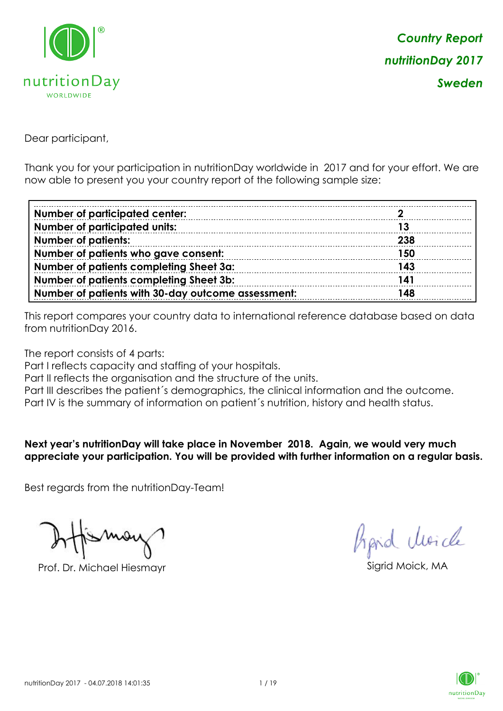

Dear participant,

Thank you for your participation in nutritionDay worldwide in 2017 and for your effort. We are now able to present you your country report of the following sample size:

| <b>Number of participated center:</b>              |     |
|----------------------------------------------------|-----|
| <b>Number of participated units:</b>               | 13  |
| <b>Number of patients:</b>                         | 238 |
| Number of patients who gave consent:               | 150 |
| Number of patients completing Sheet 3a:            | 143 |
| Number of patients completing Sheet 3b:            | 141 |
| Number of patients with 30-day outcome assessment: | 148 |

This report compares your country data to international reference database based on data from nutritionDay 2016.

The report consists of 4 parts:

Part I reflects capacity and staffing of your hospitals.

Part II reflects the organisation and the structure of the units.

Part III describes the patient's demographics, the clinical information and the outcome.

Part IV is the summary of information on patient´s nutrition, history and health status.

#### **Next year's nutritionDay will take place in November 2018. Again, we would very much appreciate your participation. You will be provided with further information on a regular basis.**

Best regards from the nutritionDay-Team!

Prof. Dr. Michael Hiesmayr Sigrid Moick, MA

Aprid Unicle

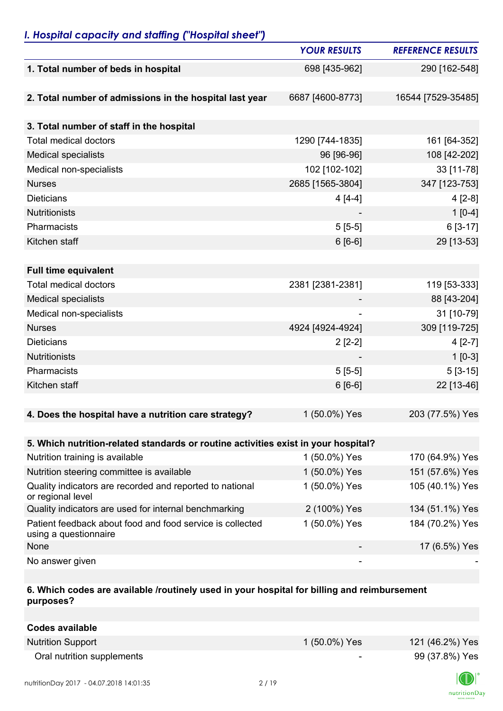## *I. Hospital capacity and staffing ("Hospital sheet")*

|                                                                                    | <b>YOUR RESULTS</b> | <b>REFERENCE RESULTS</b> |
|------------------------------------------------------------------------------------|---------------------|--------------------------|
| 1. Total number of beds in hospital                                                | 698 [435-962]       | 290 [162-548]            |
|                                                                                    |                     |                          |
| 2. Total number of admissions in the hospital last year                            | 6687 [4600-8773]    | 16544 [7529-35485]       |
|                                                                                    |                     |                          |
| 3. Total number of staff in the hospital                                           |                     |                          |
| <b>Total medical doctors</b>                                                       | 1290 [744-1835]     | 161 [64-352]             |
| <b>Medical specialists</b>                                                         | 96 [96-96]          | 108 [42-202]             |
| Medical non-specialists                                                            | 102 [102-102]       | 33 [11-78]               |
| <b>Nurses</b>                                                                      | 2685 [1565-3804]    | 347 [123-753]            |
| <b>Dieticians</b>                                                                  | $4[4-4]$            | $4[2-8]$                 |
| <b>Nutritionists</b>                                                               |                     | $1[0-4]$                 |
| Pharmacists                                                                        | $5[5-5]$            | $6[3-17]$                |
| Kitchen staff                                                                      | $6[6-6]$            | 29 [13-53]               |
|                                                                                    |                     |                          |
| <b>Full time equivalent</b>                                                        |                     |                          |
| <b>Total medical doctors</b>                                                       | 2381 [2381-2381]    | 119 [53-333]             |
| <b>Medical specialists</b>                                                         |                     | 88 [43-204]              |
| Medical non-specialists                                                            |                     | 31 [10-79]               |
| <b>Nurses</b>                                                                      | 4924 [4924-4924]    | 309 [119-725]            |
| <b>Dieticians</b>                                                                  | $2[2-2]$            | $4[2-7]$                 |
| <b>Nutritionists</b>                                                               |                     | $1[0-3]$                 |
| Pharmacists                                                                        | $5[5-5]$            | $5[3-15]$                |
| Kitchen staff                                                                      | $6[6-6]$            | 22 [13-46]               |
|                                                                                    |                     |                          |
| 4. Does the hospital have a nutrition care strategy?                               | 1 (50.0%) Yes       | 203 (77.5%) Yes          |
|                                                                                    |                     |                          |
| 5. Which nutrition-related standards or routine activities exist in your hospital? |                     |                          |
| Nutrition training is available                                                    | 1 (50.0%) Yes       | 170 (64.9%) Yes          |
| Nutrition steering committee is available                                          | 1 (50.0%) Yes       | 151 (57.6%) Yes          |
| Quality indicators are recorded and reported to national<br>or regional level      | 1 (50.0%) Yes       | 105 (40.1%) Yes          |
| Quality indicators are used for internal benchmarking                              | 2 (100%) Yes        | 134 (51.1%) Yes          |
| Patient feedback about food and food service is collected<br>using a questionnaire | 1 (50.0%) Yes       | 184 (70.2%) Yes          |
| None                                                                               |                     | 17 (6.5%) Yes            |
| No answer given                                                                    |                     |                          |

### **6. Which codes are available /routinely used in your hospital for billing and reimbursement purposes?**

| Codes available            |                          |                 |
|----------------------------|--------------------------|-----------------|
| <b>Nutrition Support</b>   | 1 (50.0%) Yes            | 121 (46.2%) Yes |
| Oral nutrition supplements | $\overline{\phantom{0}}$ | 99 (37.8%) Yes  |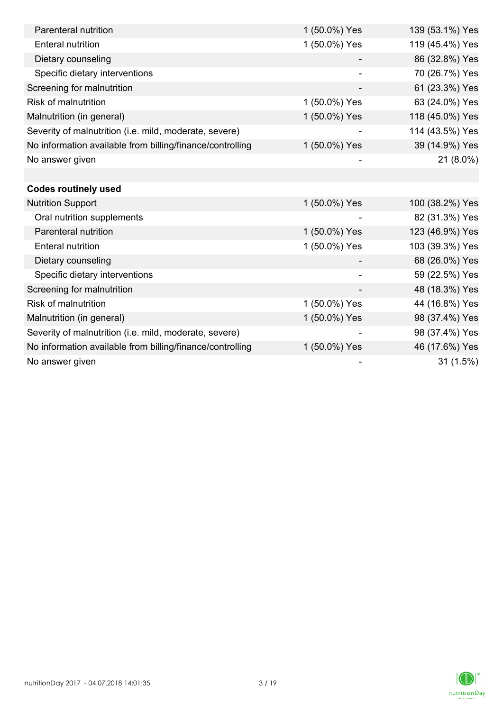| Parenteral nutrition                                      | 1 (50.0%) Yes | 139 (53.1%) Yes |
|-----------------------------------------------------------|---------------|-----------------|
| <b>Enteral nutrition</b>                                  | 1 (50.0%) Yes | 119 (45.4%) Yes |
| Dietary counseling                                        |               | 86 (32.8%) Yes  |
| Specific dietary interventions                            |               | 70 (26.7%) Yes  |
| Screening for malnutrition                                |               | 61 (23.3%) Yes  |
| <b>Risk of malnutrition</b>                               | 1 (50.0%) Yes | 63 (24.0%) Yes  |
| Malnutrition (in general)                                 | 1 (50.0%) Yes | 118 (45.0%) Yes |
| Severity of malnutrition (i.e. mild, moderate, severe)    |               | 114 (43.5%) Yes |
| No information available from billing/finance/controlling | 1 (50.0%) Yes | 39 (14.9%) Yes  |
| No answer given                                           |               | 21 (8.0%)       |
|                                                           |               |                 |
| <b>Codes routinely used</b>                               |               |                 |
| <b>Nutrition Support</b>                                  | 1 (50.0%) Yes | 100 (38.2%) Yes |
| Oral nutrition supplements                                |               | 82 (31.3%) Yes  |
| Parenteral nutrition                                      | 1 (50.0%) Yes | 123 (46.9%) Yes |
| <b>Enteral nutrition</b>                                  | 1 (50.0%) Yes | 103 (39.3%) Yes |
| Dietary counseling                                        |               | 68 (26.0%) Yes  |
| Specific dietary interventions                            |               | 59 (22.5%) Yes  |
| Screening for malnutrition                                |               | 48 (18.3%) Yes  |
| <b>Risk of malnutrition</b>                               | 1 (50.0%) Yes | 44 (16.8%) Yes  |
| Malnutrition (in general)                                 | 1 (50.0%) Yes | 98 (37.4%) Yes  |
| Severity of malnutrition (i.e. mild, moderate, severe)    |               | 98 (37.4%) Yes  |
| No information available from billing/finance/controlling | 1 (50.0%) Yes | 46 (17.6%) Yes  |
| No answer given                                           |               | 31(1.5%)        |

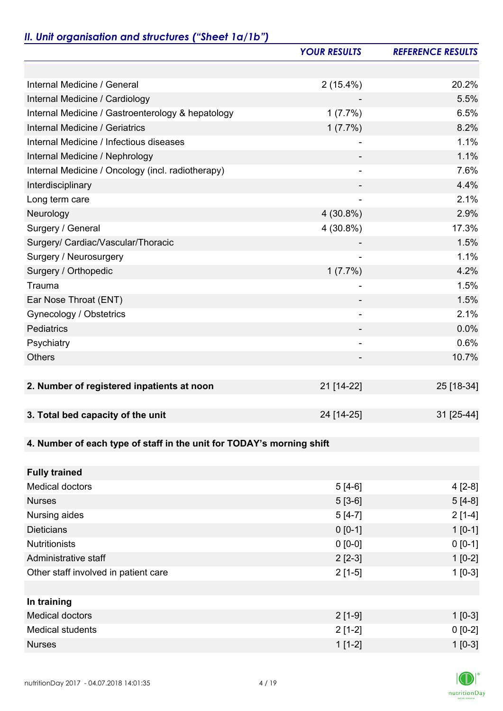# *II. Unit organisation and structures ("Sheet 1a/1b")*

|                                                                       | <b>YOUR RESULTS</b> | <b>REFERENCE RESULTS</b> |
|-----------------------------------------------------------------------|---------------------|--------------------------|
|                                                                       |                     |                          |
| Internal Medicine / General                                           | $2(15.4\%)$         | 20.2%                    |
| Internal Medicine / Cardiology                                        |                     | 5.5%                     |
| Internal Medicine / Gastroenterology & hepatology                     | 1(7.7%)             | 6.5%                     |
| Internal Medicine / Geriatrics                                        | $1(7.7\%)$          | 8.2%                     |
| Internal Medicine / Infectious diseases                               |                     | 1.1%                     |
| Internal Medicine / Nephrology                                        |                     | 1.1%                     |
| Internal Medicine / Oncology (incl. radiotherapy)                     |                     | 7.6%                     |
| Interdisciplinary                                                     |                     | 4.4%                     |
| Long term care                                                        |                     | 2.1%                     |
| Neurology                                                             | $4(30.8\%)$         | 2.9%                     |
| Surgery / General                                                     | 4 (30.8%)           | 17.3%                    |
| Surgery/ Cardiac/Vascular/Thoracic                                    |                     | 1.5%                     |
| Surgery / Neurosurgery                                                |                     | 1.1%                     |
| Surgery / Orthopedic                                                  | $1(7.7\%)$          | 4.2%                     |
| Trauma                                                                |                     | 1.5%                     |
| Ear Nose Throat (ENT)                                                 |                     | 1.5%                     |
| Gynecology / Obstetrics                                               | $\overline{a}$      | 2.1%                     |
| Pediatrics                                                            |                     | 0.0%                     |
| Psychiatry                                                            |                     | 0.6%                     |
| <b>Others</b>                                                         |                     | 10.7%                    |
|                                                                       |                     |                          |
| 2. Number of registered inpatients at noon                            | 21 [14-22]          | 25 [18-34]               |
|                                                                       |                     |                          |
| 3. Total bed capacity of the unit                                     | 24 [14-25]          | 31 [25-44]               |
|                                                                       |                     |                          |
| 4. Number of each type of staff in the unit for TODAY's morning shift |                     |                          |
|                                                                       |                     |                          |
| <b>Fully trained</b>                                                  |                     |                          |
| <b>Medical doctors</b>                                                | $5[4-6]$            | $4[2-8]$                 |
| <b>Nurses</b>                                                         | $5[3-6]$            | $5[4-8]$                 |
| Nursing aides                                                         | $5[4-7]$            | $2[1-4]$                 |
| <b>Dieticians</b>                                                     | $0 [0-1]$           | $1 [0-1]$                |
| <b>Nutritionists</b>                                                  | $0 [0-0]$           | $0 [0-1]$                |
| Administrative staff                                                  | $2[2-3]$            | $1[0-2]$                 |
| Other staff involved in patient care                                  | $2[1-5]$            | $1[0-3]$                 |
|                                                                       |                     |                          |
| In training                                                           |                     |                          |
| <b>Medical doctors</b>                                                | $2[1-9]$            | $1[0-3]$                 |
| <b>Medical students</b>                                               | $2[1-2]$            | $0 [0-2]$                |
| <b>Nurses</b>                                                         | $1[1-2]$            | $1 [0-3]$                |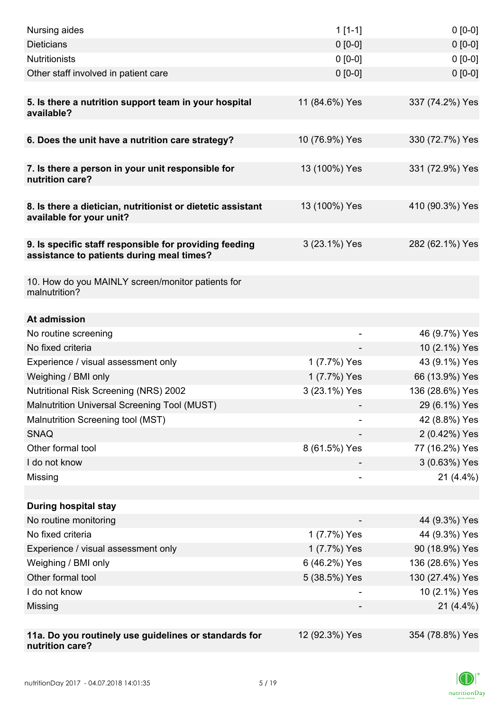| Nursing aides                                                                                       | $1[1-1]$       | $0[0-0]$                       |
|-----------------------------------------------------------------------------------------------------|----------------|--------------------------------|
| <b>Dieticians</b>                                                                                   | $0 [0-0]$      | $0 [0-0]$                      |
| <b>Nutritionists</b>                                                                                | $0 [0-0]$      | $0 [0-0]$                      |
| Other staff involved in patient care                                                                | $0 [0-0]$      | $0 [0-0]$                      |
|                                                                                                     |                |                                |
| 5. Is there a nutrition support team in your hospital<br>available?                                 | 11 (84.6%) Yes | 337 (74.2%) Yes                |
| 6. Does the unit have a nutrition care strategy?                                                    | 10 (76.9%) Yes | 330 (72.7%) Yes                |
|                                                                                                     |                |                                |
| 7. Is there a person in your unit responsible for<br>nutrition care?                                | 13 (100%) Yes  | 331 (72.9%) Yes                |
| 8. Is there a dietician, nutritionist or dietetic assistant<br>available for your unit?             | 13 (100%) Yes  | 410 (90.3%) Yes                |
| 9. Is specific staff responsible for providing feeding<br>assistance to patients during meal times? | 3 (23.1%) Yes  | 282 (62.1%) Yes                |
| 10. How do you MAINLY screen/monitor patients for<br>malnutrition?                                  |                |                                |
|                                                                                                     |                |                                |
| At admission                                                                                        |                |                                |
| No routine screening<br>No fixed criteria                                                           |                | 46 (9.7%) Yes                  |
| Experience / visual assessment only                                                                 | 1 (7.7%) Yes   | 10 (2.1%) Yes<br>43 (9.1%) Yes |
| Weighing / BMI only                                                                                 | 1 (7.7%) Yes   | 66 (13.9%) Yes                 |
| Nutritional Risk Screening (NRS) 2002                                                               | 3 (23.1%) Yes  | 136 (28.6%) Yes                |
| Malnutrition Universal Screening Tool (MUST)                                                        |                | 29 (6.1%) Yes                  |
| Malnutrition Screening tool (MST)                                                                   |                | 42 (8.8%) Yes                  |
| <b>SNAQ</b>                                                                                         |                | 2 (0.42%) Yes                  |
| Other formal tool                                                                                   | 8 (61.5%) Yes  | 77 (16.2%) Yes                 |
| I do not know                                                                                       |                | 3 (0.63%) Yes                  |
| Missing                                                                                             | $\overline{a}$ | $21(4.4\%)$                    |
|                                                                                                     |                |                                |
| <b>During hospital stay</b>                                                                         |                |                                |
| No routine monitoring                                                                               |                | 44 (9.3%) Yes                  |
| No fixed criteria                                                                                   | 1 (7.7%) Yes   | 44 (9.3%) Yes                  |
| Experience / visual assessment only                                                                 | 1 (7.7%) Yes   | 90 (18.9%) Yes                 |
| Weighing / BMI only                                                                                 | 6 (46.2%) Yes  | 136 (28.6%) Yes                |
| Other formal tool                                                                                   | 5 (38.5%) Yes  | 130 (27.4%) Yes                |
| I do not know                                                                                       |                | 10 (2.1%) Yes                  |
| Missing                                                                                             |                | $21(4.4\%)$                    |
|                                                                                                     |                |                                |
| 11a. Do you routinely use guidelines or standards for<br>nutrition care?                            | 12 (92.3%) Yes | 354 (78.8%) Yes                |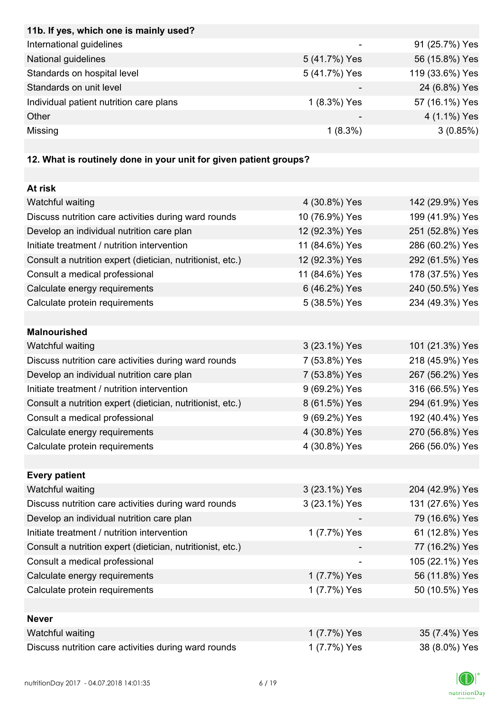| 11b. If yes, which one is mainly used?                            |                          |                 |
|-------------------------------------------------------------------|--------------------------|-----------------|
| International guidelines                                          | $\overline{\phantom{a}}$ | 91 (25.7%) Yes  |
| National guidelines                                               | 5 (41.7%) Yes            | 56 (15.8%) Yes  |
| Standards on hospital level                                       | 5 (41.7%) Yes            | 119 (33.6%) Yes |
| Standards on unit level                                           |                          | 24 (6.8%) Yes   |
| Individual patient nutrition care plans                           | 1 (8.3%) Yes             | 57 (16.1%) Yes  |
| Other                                                             |                          | 4 (1.1%) Yes    |
| Missing                                                           | $1(8.3\%)$               | 3(0.85%)        |
|                                                                   |                          |                 |
| 12. What is routinely done in your unit for given patient groups? |                          |                 |
|                                                                   |                          |                 |
| At risk                                                           |                          |                 |
| Watchful waiting                                                  | 4 (30.8%) Yes            | 142 (29.9%) Yes |
| Discuss nutrition care activities during ward rounds              | 10 (76.9%) Yes           | 199 (41.9%) Yes |
| Develop an individual nutrition care plan                         | 12 (92.3%) Yes           | 251 (52.8%) Yes |
| Initiate treatment / nutrition intervention                       | 11 (84.6%) Yes           | 286 (60.2%) Yes |
| Consult a nutrition expert (dietician, nutritionist, etc.)        | 12 (92.3%) Yes           | 292 (61.5%) Yes |
| Consult a medical professional                                    | 11 (84.6%) Yes           | 178 (37.5%) Yes |
| Calculate energy requirements                                     | 6 (46.2%) Yes            | 240 (50.5%) Yes |
| Calculate protein requirements                                    | 5 (38.5%) Yes            | 234 (49.3%) Yes |
|                                                                   |                          |                 |
| <b>Malnourished</b>                                               |                          |                 |
| Watchful waiting                                                  | 3 (23.1%) Yes            | 101 (21.3%) Yes |
| Discuss nutrition care activities during ward rounds              | 7 (53.8%) Yes            | 218 (45.9%) Yes |
| Develop an individual nutrition care plan                         | 7 (53.8%) Yes            | 267 (56.2%) Yes |
| Initiate treatment / nutrition intervention                       | 9 (69.2%) Yes            | 316 (66.5%) Yes |
| Consult a nutrition expert (dietician, nutritionist, etc.)        | 8 (61.5%) Yes            | 294 (61.9%) Yes |
| Consult a medical professional                                    | 9 (69.2%) Yes            | 192 (40.4%) Yes |
| Calculate energy requirements                                     | 4 (30.8%) Yes            | 270 (56.8%) Yes |
| Calculate protein requirements                                    | 4 (30.8%) Yes            | 266 (56.0%) Yes |
|                                                                   |                          |                 |
| <b>Every patient</b>                                              |                          |                 |
| Watchful waiting                                                  | 3 (23.1%) Yes            | 204 (42.9%) Yes |
| Discuss nutrition care activities during ward rounds              | 3 (23.1%) Yes            | 131 (27.6%) Yes |
| Develop an individual nutrition care plan                         |                          | 79 (16.6%) Yes  |
| Initiate treatment / nutrition intervention                       | 1 (7.7%) Yes             | 61 (12.8%) Yes  |
| Consult a nutrition expert (dietician, nutritionist, etc.)        |                          | 77 (16.2%) Yes  |
| Consult a medical professional                                    |                          | 105 (22.1%) Yes |
| Calculate energy requirements                                     | 1 (7.7%) Yes             | 56 (11.8%) Yes  |
| Calculate protein requirements                                    | 1 (7.7%) Yes             | 50 (10.5%) Yes  |
|                                                                   |                          |                 |
| <b>Never</b>                                                      |                          |                 |
| Watchful waiting                                                  | 1 (7.7%) Yes             | 35 (7.4%) Yes   |
| Discuss nutrition care activities during ward rounds              | 1 (7.7%) Yes             | 38 (8.0%) Yes   |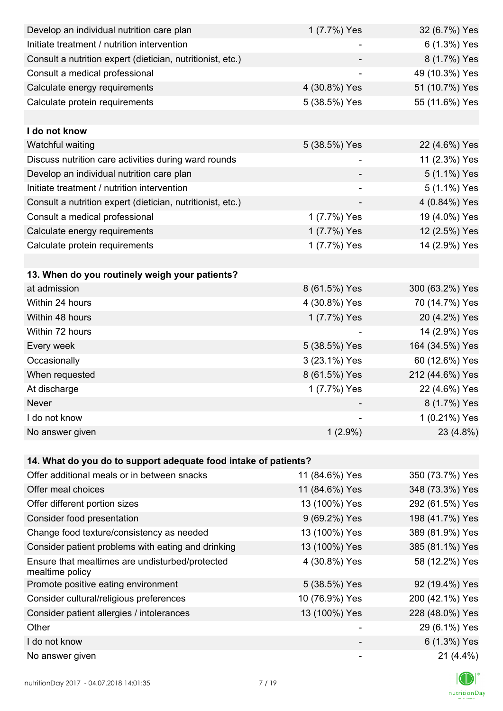| Develop an individual nutrition care plan                          | 1 (7.7%) Yes   | 32 (6.7%) Yes   |
|--------------------------------------------------------------------|----------------|-----------------|
| Initiate treatment / nutrition intervention                        |                | 6 (1.3%) Yes    |
| Consult a nutrition expert (dietician, nutritionist, etc.)         |                | 8 (1.7%) Yes    |
| Consult a medical professional                                     |                | 49 (10.3%) Yes  |
| Calculate energy requirements                                      | 4 (30.8%) Yes  | 51 (10.7%) Yes  |
| Calculate protein requirements                                     | 5 (38.5%) Yes  | 55 (11.6%) Yes  |
|                                                                    |                |                 |
| I do not know                                                      |                |                 |
| Watchful waiting                                                   | 5 (38.5%) Yes  | 22 (4.6%) Yes   |
| Discuss nutrition care activities during ward rounds               |                | 11 (2.3%) Yes   |
| Develop an individual nutrition care plan                          |                | 5 (1.1%) Yes    |
| Initiate treatment / nutrition intervention                        | ۰              | 5 (1.1%) Yes    |
| Consult a nutrition expert (dietician, nutritionist, etc.)         |                | 4 (0.84%) Yes   |
| Consult a medical professional                                     | 1 (7.7%) Yes   | 19 (4.0%) Yes   |
| Calculate energy requirements                                      | 1 (7.7%) Yes   | 12 (2.5%) Yes   |
| Calculate protein requirements                                     | 1 (7.7%) Yes   | 14 (2.9%) Yes   |
|                                                                    |                |                 |
| 13. When do you routinely weigh your patients?                     |                |                 |
| at admission                                                       | 8 (61.5%) Yes  | 300 (63.2%) Yes |
| Within 24 hours                                                    | 4 (30.8%) Yes  | 70 (14.7%) Yes  |
| Within 48 hours                                                    | 1 (7.7%) Yes   | 20 (4.2%) Yes   |
| Within 72 hours                                                    |                | 14 (2.9%) Yes   |
| Every week                                                         | 5 (38.5%) Yes  | 164 (34.5%) Yes |
| Occasionally                                                       | 3 (23.1%) Yes  | 60 (12.6%) Yes  |
| When requested                                                     | 8 (61.5%) Yes  | 212 (44.6%) Yes |
| At discharge                                                       | 1 (7.7%) Yes   | 22 (4.6%) Yes   |
| Never                                                              |                | 8 (1.7%) Yes    |
| I do not know                                                      |                | 1 (0.21%) Yes   |
| No answer given                                                    | $1(2.9\%)$     | 23 (4.8%)       |
|                                                                    |                |                 |
| 14. What do you do to support adequate food intake of patients?    |                |                 |
| Offer additional meals or in between snacks                        | 11 (84.6%) Yes | 350 (73.7%) Yes |
| Offer meal choices                                                 | 11 (84.6%) Yes | 348 (73.3%) Yes |
| Offer different portion sizes                                      | 13 (100%) Yes  | 292 (61.5%) Yes |
| Consider food presentation                                         | 9 (69.2%) Yes  | 198 (41.7%) Yes |
| Change food texture/consistency as needed                          | 13 (100%) Yes  | 389 (81.9%) Yes |
| Consider patient problems with eating and drinking                 | 13 (100%) Yes  | 385 (81.1%) Yes |
| Ensure that mealtimes are undisturbed/protected<br>mealtime policy | 4 (30.8%) Yes  | 58 (12.2%) Yes  |
| Promote positive eating environment                                | 5 (38.5%) Yes  | 92 (19.4%) Yes  |
| Consider cultural/religious preferences                            | 10 (76.9%) Yes | 200 (42.1%) Yes |
| Consider patient allergies / intolerances                          | 13 (100%) Yes  | 228 (48.0%) Yes |
| Other                                                              |                | 29 (6.1%) Yes   |
| I do not know                                                      |                | 6 (1.3%) Yes    |
| No answer given                                                    |                | $21(4.4\%)$     |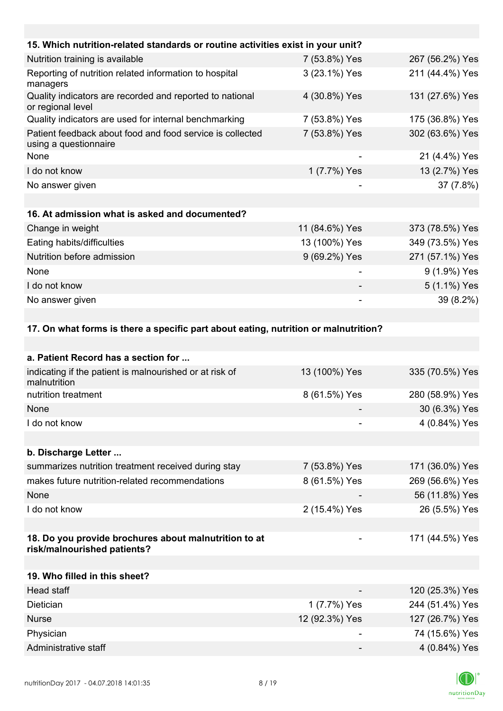| 15. Which nutrition-related standards or routine activities exist in your unit?    |                |                 |
|------------------------------------------------------------------------------------|----------------|-----------------|
| Nutrition training is available                                                    | 7 (53.8%) Yes  | 267 (56.2%) Yes |
| Reporting of nutrition related information to hospital<br>managers                 | 3 (23.1%) Yes  | 211 (44.4%) Yes |
| Quality indicators are recorded and reported to national<br>or regional level      | 4 (30.8%) Yes  | 131 (27.6%) Yes |
| Quality indicators are used for internal benchmarking                              | 7 (53.8%) Yes  | 175 (36.8%) Yes |
| Patient feedback about food and food service is collected<br>using a questionnaire | 7 (53.8%) Yes  | 302 (63.6%) Yes |
| None                                                                               | -              | 21 (4.4%) Yes   |
| I do not know                                                                      | 1 (7.7%) Yes   | 13 (2.7%) Yes   |
| No answer given                                                                    | -              | 37 (7.8%)       |
|                                                                                    |                |                 |
| 16. At admission what is asked and documented?                                     |                |                 |
| Change in weight                                                                   | 11 (84.6%) Yes | 373 (78.5%) Yes |
| Eating habits/difficulties                                                         | 13 (100%) Yes  | 349 (73.5%) Yes |
| Nutrition before admission                                                         | 9 (69.2%) Yes  | 271 (57.1%) Yes |
| None                                                                               |                | 9 (1.9%) Yes    |
| I do not know                                                                      |                | 5 (1.1%) Yes    |
| No answer given                                                                    |                | 39 (8.2%)       |
|                                                                                    |                |                 |

### **17. On what forms is there a specific part about eating, nutrition or malnutrition?**

| a. Patient Record has a section for                                                  |                |                 |
|--------------------------------------------------------------------------------------|----------------|-----------------|
| indicating if the patient is malnourished or at risk of<br>malnutrition              | 13 (100%) Yes  | 335 (70.5%) Yes |
| nutrition treatment                                                                  | 8 (61.5%) Yes  | 280 (58.9%) Yes |
| None                                                                                 |                | 30 (6.3%) Yes   |
| I do not know                                                                        |                | 4 (0.84%) Yes   |
|                                                                                      |                |                 |
| b. Discharge Letter                                                                  |                |                 |
| summarizes nutrition treatment received during stay                                  | 7 (53.8%) Yes  | 171 (36.0%) Yes |
| makes future nutrition-related recommendations                                       | 8 (61.5%) Yes  | 269 (56.6%) Yes |
| None                                                                                 |                | 56 (11.8%) Yes  |
| I do not know                                                                        | 2 (15.4%) Yes  | 26 (5.5%) Yes   |
|                                                                                      |                |                 |
| 18. Do you provide brochures about malnutrition to at<br>risk/malnourished patients? |                | 171 (44.5%) Yes |
|                                                                                      |                |                 |
| 19. Who filled in this sheet?                                                        |                |                 |
| <b>Head staff</b>                                                                    |                | 120 (25.3%) Yes |
| Dietician                                                                            | 1 (7.7%) Yes   | 244 (51.4%) Yes |
| <b>Nurse</b>                                                                         | 12 (92.3%) Yes | 127 (26.7%) Yes |
| Physician                                                                            |                | 74 (15.6%) Yes  |
| Administrative staff                                                                 |                | 4 (0.84%) Yes   |

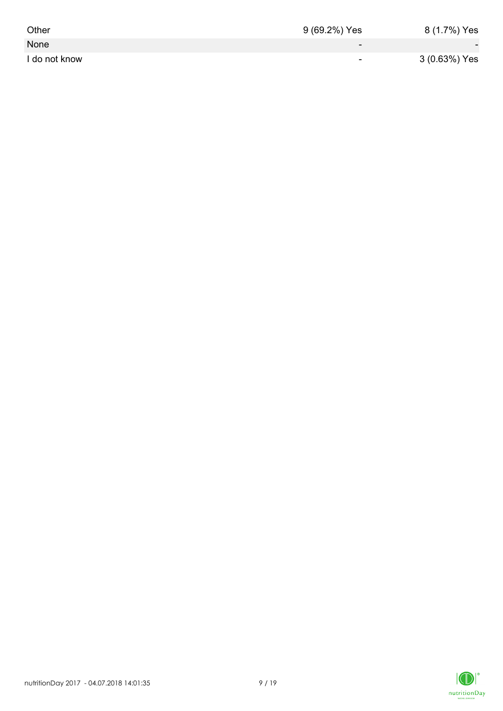| Other         | 9 (69.2%) Yes            | 8 (1.7%) Yes             |
|---------------|--------------------------|--------------------------|
| None          | $\overline{\phantom{0}}$ | $\overline{\phantom{0}}$ |
| I do not know | $\overline{\phantom{0}}$ | 3 (0.63%) Yes            |

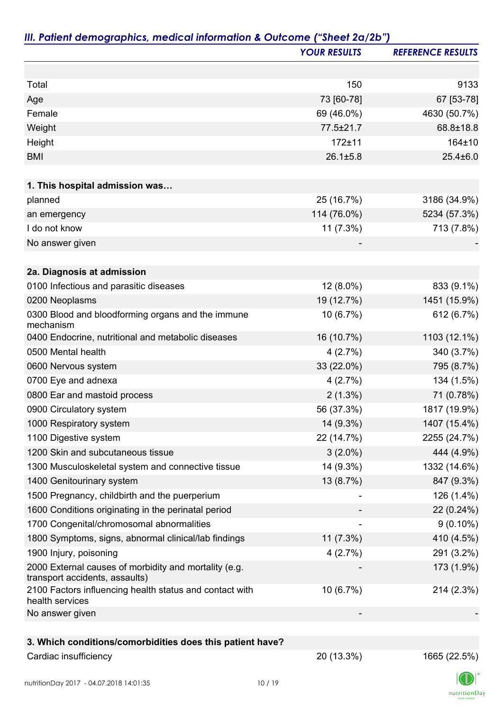|                                                                                         | <b>YOUR RESULTS</b> | <b>REFERENCE RESULTS</b> |
|-----------------------------------------------------------------------------------------|---------------------|--------------------------|
|                                                                                         |                     |                          |
| Total                                                                                   | 150                 | 9133                     |
| Age                                                                                     | 73 [60-78]          | 67 [53-78]               |
| Female                                                                                  | 69 (46.0%)          | 4630 (50.7%)             |
| Weight                                                                                  | 77.5±21.7           | 68.8±18.8                |
| Height                                                                                  | $172 + 11$          | 164±10                   |
| <b>BMI</b>                                                                              | $26.1 \pm 5.8$      | $25.4 \pm 6.0$           |
| 1. This hospital admission was                                                          |                     |                          |
| planned                                                                                 | 25 (16.7%)          | 3186 (34.9%)             |
| an emergency                                                                            | 114 (76.0%)         | 5234 (57.3%)             |
| I do not know                                                                           | 11 (7.3%)           | 713 (7.8%)               |
| No answer given                                                                         |                     |                          |
| 2a. Diagnosis at admission                                                              |                     |                          |
| 0100 Infectious and parasitic diseases                                                  | 12 (8.0%)           | 833 (9.1%)               |
| 0200 Neoplasms                                                                          | 19 (12.7%)          | 1451 (15.9%)             |
| 0300 Blood and bloodforming organs and the immune<br>mechanism                          | 10 (6.7%)           | 612 (6.7%)               |
| 0400 Endocrine, nutritional and metabolic diseases                                      | 16 (10.7%)          | 1103 (12.1%)             |
| 0500 Mental health                                                                      | 4(2.7%)             | 340 (3.7%)               |
| 0600 Nervous system                                                                     | 33 (22.0%)          | 795 (8.7%)               |
| 0700 Eye and adnexa                                                                     | 4(2.7%)             | 134 (1.5%)               |
| 0800 Ear and mastoid process                                                            | $2(1.3\%)$          | 71 (0.78%)               |
| 0900 Circulatory system                                                                 | 56 (37.3%)          | 1817 (19.9%)             |
| 1000 Respiratory system                                                                 | 14 (9.3%)           | 1407 (15.4%)             |
| 1100 Digestive system                                                                   | 22 (14.7%)          | 2255 (24.7%)             |
| 1200 Skin and subcutaneous tissue                                                       | $3(2.0\%)$          | 444 (4.9%)               |
| 1300 Musculoskeletal system and connective tissue                                       | 14 (9.3%)           | 1332 (14.6%)             |
| 1400 Genitourinary system                                                               | 13 (8.7%)           | 847 (9.3%)               |
| 1500 Pregnancy, childbirth and the puerperium                                           |                     | 126 (1.4%)               |
| 1600 Conditions originating in the perinatal period                                     |                     | 22 (0.24%)               |
| 1700 Congenital/chromosomal abnormalities                                               |                     | $9(0.10\%)$              |
| 1800 Symptoms, signs, abnormal clinical/lab findings                                    | 11 (7.3%)           | 410 (4.5%)               |
| 1900 Injury, poisoning                                                                  | 4(2.7%)             | 291 (3.2%)               |
| 2000 External causes of morbidity and mortality (e.g.<br>transport accidents, assaults) |                     | 173 (1.9%)               |
| 2100 Factors influencing health status and contact with<br>health services              | 10 (6.7%)           | 214 (2.3%)               |
| No answer given                                                                         |                     |                          |
| 3. Which conditions/comorbidities does this patient have?                               |                     |                          |
| Cardiac insufficiency                                                                   | 20 (13.3%)          | 1665 (22.5%)             |

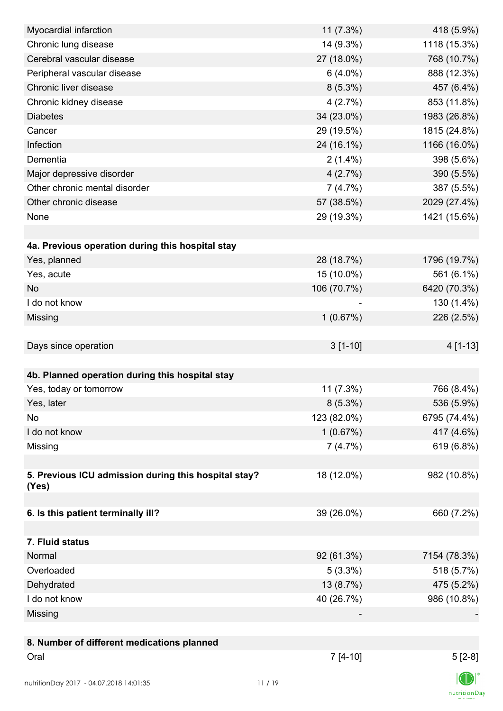| Myocardial infarction                                | 11 (7.3%)   | 418 (5.9%)   |
|------------------------------------------------------|-------------|--------------|
| Chronic lung disease                                 | 14 (9.3%)   | 1118 (15.3%) |
| Cerebral vascular disease                            | 27 (18.0%)  | 768 (10.7%)  |
| Peripheral vascular disease                          | $6(4.0\%)$  | 888 (12.3%)  |
| Chronic liver disease                                | $8(5.3\%)$  | 457 (6.4%)   |
| Chronic kidney disease                               | 4(2.7%)     | 853 (11.8%)  |
| <b>Diabetes</b>                                      | 34 (23.0%)  | 1983 (26.8%) |
| Cancer                                               | 29 (19.5%)  | 1815 (24.8%) |
| Infection                                            | 24 (16.1%)  | 1166 (16.0%) |
| Dementia                                             | $2(1.4\%)$  | 398 (5.6%)   |
| Major depressive disorder                            | 4(2.7%)     | 390 (5.5%)   |
| Other chronic mental disorder                        | 7(4.7%)     | 387 (5.5%)   |
| Other chronic disease                                | 57 (38.5%)  | 2029 (27.4%) |
| None                                                 | 29 (19.3%)  | 1421 (15.6%) |
|                                                      |             |              |
| 4a. Previous operation during this hospital stay     |             |              |
| Yes, planned                                         | 28 (18.7%)  | 1796 (19.7%) |
| Yes, acute                                           | 15 (10.0%)  | 561 (6.1%)   |
| <b>No</b>                                            | 106 (70.7%) | 6420 (70.3%) |
| I do not know                                        |             | 130 (1.4%)   |
| Missing                                              | 1(0.67%)    | 226 (2.5%)   |
|                                                      |             |              |
| Days since operation                                 | $3[1-10]$   | 4 [1-13]     |
|                                                      |             |              |
| 4b. Planned operation during this hospital stay      |             |              |
| Yes, today or tomorrow                               | 11(7.3%)    | 766 (8.4%)   |
| Yes, later                                           | $8(5.3\%)$  | 536 (5.9%)   |
| No                                                   | 123 (82.0%) | 6795 (74.4%) |
| I do not know                                        | 1(0.67%)    | 417 (4.6%)   |
| Missing                                              | 7(4.7%)     | 619 (6.8%)   |
|                                                      |             |              |
| 5. Previous ICU admission during this hospital stay? | 18 (12.0%)  | 982 (10.8%)  |
| (Yes)                                                |             |              |
|                                                      |             |              |
| 6. Is this patient terminally ill?                   | 39 (26.0%)  | 660 (7.2%)   |
|                                                      |             |              |
| 7. Fluid status                                      |             |              |
| Normal                                               | 92 (61.3%)  | 7154 (78.3%) |
| Overloaded                                           | $5(3.3\%)$  | 518 (5.7%)   |
| Dehydrated                                           | 13 (8.7%)   | 475 (5.2%)   |
| I do not know                                        | 40 (26.7%)  | 986 (10.8%)  |
| Missing                                              |             |              |
|                                                      |             |              |
| 8. Number of different medications planned           |             |              |
| Oral                                                 | $7[4-10]$   | $5[2-8]$     |
|                                                      |             |              |
| nutritionDay 2017 - 04.07.2018 14:01:35              | 11/19       |              |

 $\textsf{nutritionDay}$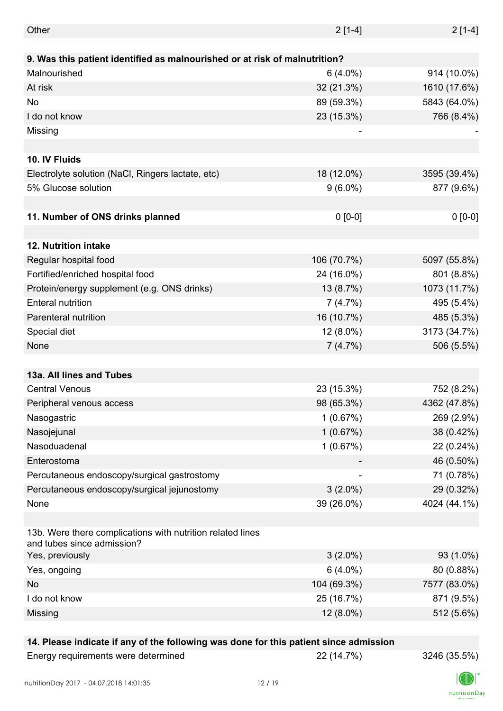| Other                                                                                    | $2[1-4]$    | $2[1-4]$     |
|------------------------------------------------------------------------------------------|-------------|--------------|
|                                                                                          |             |              |
| 9. Was this patient identified as malnourished or at risk of malnutrition?               |             |              |
| Malnourished                                                                             | $6(4.0\%)$  | 914 (10.0%)  |
| At risk                                                                                  | 32 (21.3%)  | 1610 (17.6%) |
| <b>No</b>                                                                                | 89 (59.3%)  | 5843 (64.0%) |
| I do not know                                                                            | 23 (15.3%)  | 766 (8.4%)   |
| Missing                                                                                  |             |              |
|                                                                                          |             |              |
| 10. IV Fluids                                                                            |             |              |
| Electrolyte solution (NaCl, Ringers lactate, etc)                                        | 18 (12.0%)  | 3595 (39.4%) |
| 5% Glucose solution                                                                      | $9(6.0\%)$  | 877 (9.6%)   |
|                                                                                          |             |              |
| 11. Number of ONS drinks planned                                                         | $0 [0-0]$   | $0 [0-0]$    |
|                                                                                          |             |              |
| 12. Nutrition intake                                                                     |             |              |
| Regular hospital food                                                                    | 106 (70.7%) | 5097 (55.8%) |
| Fortified/enriched hospital food                                                         | 24 (16.0%)  | 801 (8.8%)   |
| Protein/energy supplement (e.g. ONS drinks)                                              | 13 (8.7%)   | 1073 (11.7%) |
| <b>Enteral nutrition</b>                                                                 | 7(4.7%)     | 495 (5.4%)   |
| Parenteral nutrition                                                                     | 16 (10.7%)  | 485 (5.3%)   |
| Special diet                                                                             | 12 (8.0%)   | 3173 (34.7%) |
| None                                                                                     | 7(4.7%)     | 506 (5.5%)   |
|                                                                                          |             |              |
| 13a. All lines and Tubes                                                                 |             |              |
| <b>Central Venous</b>                                                                    | 23 (15.3%)  | 752 (8.2%)   |
| Peripheral venous access                                                                 | 98 (65.3%)  | 4362 (47.8%) |
| Nasogastric                                                                              | 1(0.67%)    | 269 (2.9%)   |
| Nasojejunal                                                                              | 1(0.67%)    | 38 (0.42%)   |
| Nasoduadenal                                                                             | 1(0.67%)    | 22 (0.24%)   |
| Enterostoma                                                                              |             |              |
|                                                                                          |             | 46 (0.50%)   |
| Percutaneous endoscopy/surgical gastrostomy                                              |             | 71 (0.78%)   |
| Percutaneous endoscopy/surgical jejunostomy                                              | $3(2.0\%)$  | 29 (0.32%)   |
| None                                                                                     | 39 (26.0%)  | 4024 (44.1%) |
| 13b. Were there complications with nutrition related lines<br>and tubes since admission? |             |              |
| Yes, previously                                                                          | $3(2.0\%)$  | 93 (1.0%)    |
| Yes, ongoing                                                                             | $6(4.0\%)$  | 80 (0.88%)   |
| No                                                                                       | 104 (69.3%) | 7577 (83.0%) |
| I do not know                                                                            | 25 (16.7%)  | 871 (9.5%)   |
| Missing                                                                                  | 12 (8.0%)   | 512 (5.6%)   |
|                                                                                          |             |              |

### **14. Please indicate if any of the following was done for this patient since admission**

| Energy requirements were determined |
|-------------------------------------|
|-------------------------------------|

Energy requirements were determined 22 (14.7%) 3246 (35.5%)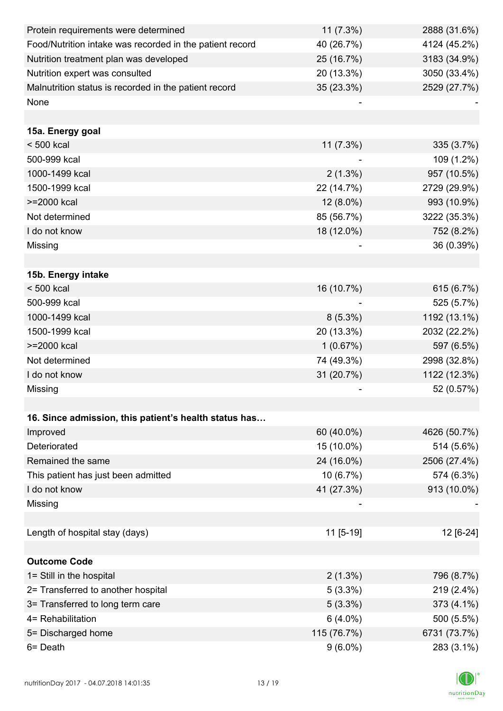| Protein requirements were determined                     | $11(7.3\%)$ | 2888 (31.6%) |
|----------------------------------------------------------|-------------|--------------|
| Food/Nutrition intake was recorded in the patient record | 40 (26.7%)  | 4124 (45.2%) |
| Nutrition treatment plan was developed                   | 25 (16.7%)  | 3183 (34.9%) |
| Nutrition expert was consulted                           | 20 (13.3%)  | 3050 (33.4%) |
| Malnutrition status is recorded in the patient record    | 35 (23.3%)  | 2529 (27.7%) |
| None                                                     |             |              |
|                                                          |             |              |
| 15a. Energy goal                                         |             |              |
| $< 500$ kcal                                             | 11 (7.3%)   | 335 (3.7%)   |
| 500-999 kcal                                             |             | 109 (1.2%)   |
| 1000-1499 kcal                                           | $2(1.3\%)$  | 957 (10.5%)  |
| 1500-1999 kcal                                           | 22 (14.7%)  | 2729 (29.9%) |
| >=2000 kcal                                              | $12(8.0\%)$ | 993 (10.9%)  |
| Not determined                                           | 85 (56.7%)  | 3222 (35.3%) |
| I do not know                                            | 18 (12.0%)  | 752 (8.2%)   |
| Missing                                                  |             | 36 (0.39%)   |
|                                                          |             |              |
| 15b. Energy intake                                       |             |              |
| $< 500$ kcal                                             | 16 (10.7%)  | 615 (6.7%)   |
| 500-999 kcal                                             |             | 525 (5.7%)   |
| 1000-1499 kcal                                           | $8(5.3\%)$  | 1192 (13.1%) |
| 1500-1999 kcal                                           | 20 (13.3%)  | 2032 (22.2%) |
| >=2000 kcal                                              | 1(0.67%)    | 597 (6.5%)   |
| Not determined                                           | 74 (49.3%)  | 2998 (32.8%) |
| I do not know                                            | 31 (20.7%)  | 1122 (12.3%) |
| Missing                                                  |             | 52 (0.57%)   |
|                                                          |             |              |
| 16. Since admission, this patient's health status has    |             |              |
| Improved                                                 | 60 (40.0%)  | 4626 (50.7%) |
| Deteriorated                                             | 15 (10.0%)  | 514 (5.6%)   |
| Remained the same                                        | 24 (16.0%)  | 2506 (27.4%) |
| This patient has just been admitted                      | 10 (6.7%)   | 574 (6.3%)   |
| I do not know                                            | 41 (27.3%)  | 913 (10.0%)  |
| Missing                                                  |             |              |
|                                                          |             |              |
| Length of hospital stay (days)                           | 11 [5-19]   | 12 [6-24]    |
|                                                          |             |              |
| <b>Outcome Code</b>                                      |             |              |
| 1= Still in the hospital                                 | $2(1.3\%)$  | 796 (8.7%)   |
| 2= Transferred to another hospital                       | $5(3.3\%)$  | 219 (2.4%)   |
| 3= Transferred to long term care                         | $5(3.3\%)$  | 373 (4.1%)   |
| 4= Rehabilitation                                        | $6(4.0\%)$  | 500 (5.5%)   |
| 5= Discharged home                                       | 115 (76.7%) | 6731 (73.7%) |
| 6= Death                                                 | $9(6.0\%)$  | 283 (3.1%)   |

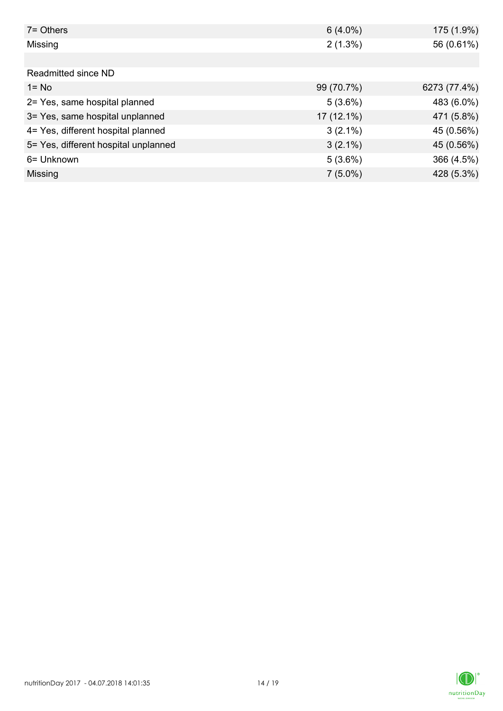| $7 =$ Others                         | $6(4.0\%)$   | 175 (1.9%)   |
|--------------------------------------|--------------|--------------|
| Missing                              | $2(1.3\%)$   | 56 (0.61%)   |
|                                      |              |              |
| Readmitted since ND                  |              |              |
| $1 = No$                             | 99 (70.7%)   | 6273 (77.4%) |
| 2= Yes, same hospital planned        | 5(3.6%)      | 483 (6.0%)   |
| 3= Yes, same hospital unplanned      | $17(12.1\%)$ | 471 (5.8%)   |
| 4= Yes, different hospital planned   | $3(2.1\%)$   | 45 (0.56%)   |
| 5= Yes, different hospital unplanned | $3(2.1\%)$   | 45 (0.56%)   |
| 6= Unknown                           | 5(3.6%)      | 366 (4.5%)   |
| Missing                              | $7(5.0\%)$   | 428 (5.3%)   |

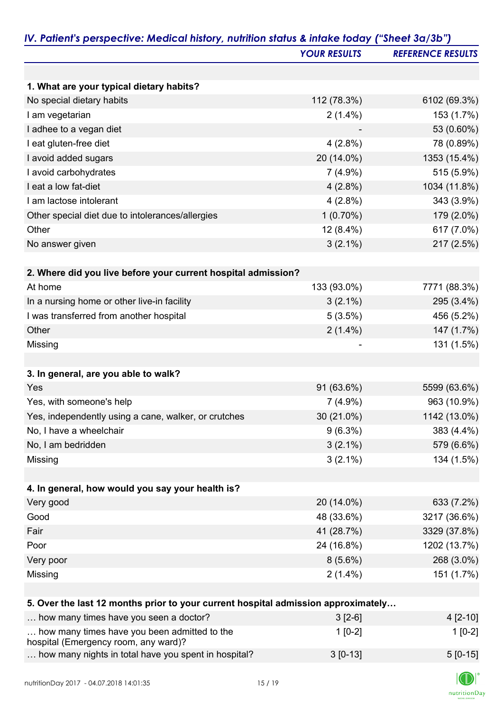|                                                                                   | <b>YOUR RESULTS</b> | <b>REFERENCE RESULTS</b> |
|-----------------------------------------------------------------------------------|---------------------|--------------------------|
|                                                                                   |                     |                          |
| 1. What are your typical dietary habits?                                          |                     |                          |
| No special dietary habits                                                         | 112 (78.3%)         | 6102 (69.3%)             |
| I am vegetarian                                                                   | $2(1.4\%)$          | 153 (1.7%)               |
| I adhee to a vegan diet                                                           |                     | 53 (0.60%)               |
| I eat gluten-free diet                                                            | $4(2.8\%)$          | 78 (0.89%)               |
| I avoid added sugars                                                              | 20 (14.0%)          | 1353 (15.4%)             |
| I avoid carbohydrates                                                             | $7(4.9\%)$          | 515 (5.9%)               |
| I eat a low fat-diet                                                              | $4(2.8\%)$          | 1034 (11.8%)             |
| I am lactose intolerant                                                           | $4(2.8\%)$          | 343 (3.9%)               |
| Other special diet due to intolerances/allergies                                  | $1(0.70\%)$         | 179 (2.0%)               |
| Other                                                                             | 12 (8.4%)           | 617 (7.0%)               |
| No answer given                                                                   | $3(2.1\%)$          | 217 (2.5%)               |
|                                                                                   |                     |                          |
| 2. Where did you live before your current hospital admission?                     |                     |                          |
| At home                                                                           | 133 (93.0%)         | 7771 (88.3%)             |
| In a nursing home or other live-in facility                                       | $3(2.1\%)$          | 295 (3.4%)               |
| I was transferred from another hospital                                           | 5(3.5%)             | 456 (5.2%)               |
| Other                                                                             | $2(1.4\%)$          | 147 (1.7%)               |
| Missing                                                                           |                     | 131 (1.5%)               |
|                                                                                   |                     |                          |
| 3. In general, are you able to walk?                                              |                     |                          |
| Yes                                                                               | 91 (63.6%)          | 5599 (63.6%)             |
| Yes, with someone's help                                                          | $7(4.9\%)$          | 963 (10.9%)              |
| Yes, independently using a cane, walker, or crutches                              | 30 (21.0%)          | 1142 (13.0%)             |
| No, I have a wheelchair                                                           | $9(6.3\%)$          | 383 (4.4%)               |
| No, I am bedridden                                                                | $3(2.1\%)$          | 579 (6.6%)               |
| Missing                                                                           | $3(2.1\%)$          | 134 (1.5%)               |
|                                                                                   |                     |                          |
| 4. In general, how would you say your health is?                                  |                     |                          |
| Very good                                                                         | 20 (14.0%)          | 633 (7.2%)               |
| Good                                                                              | 48 (33.6%)          | 3217 (36.6%)             |
| Fair                                                                              | 41 (28.7%)          | 3329 (37.8%)             |
| Poor                                                                              | 24 (16.8%)          | 1202 (13.7%)             |
| Very poor                                                                         | $8(5.6\%)$          | 268 (3.0%)               |
| Missing                                                                           | $2(1.4\%)$          | 151 (1.7%)               |
|                                                                                   |                     |                          |
| 5. Over the last 12 months prior to your current hospital admission approximately |                     |                          |
| how many times have you seen a doctor?                                            | $3[2-6]$            | $4[2-10]$                |
| how many times have you been admitted to the                                      | $1[0-2]$            | $1[0-2]$                 |
| hospital (Emergency room, any ward)?                                              |                     |                          |
| how many nights in total have you spent in hospital?                              | $3[0-13]$           | $5[0-15]$                |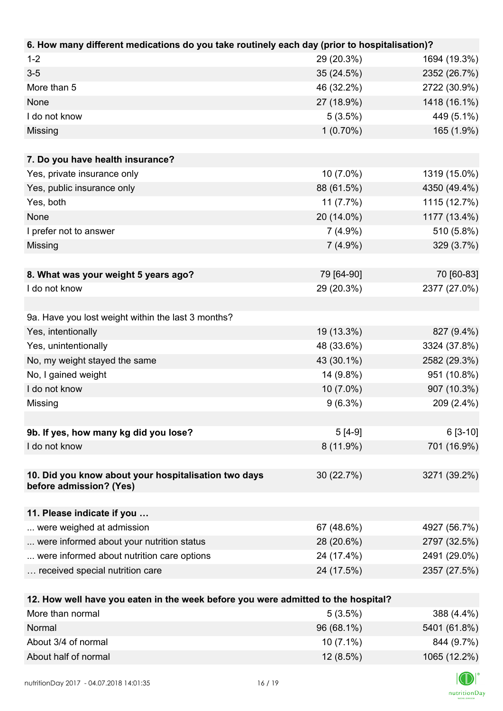| 6. How many different medications do you take routinely each day (prior to hospitalisation)? |             |              |
|----------------------------------------------------------------------------------------------|-------------|--------------|
| $1 - 2$                                                                                      | 29 (20.3%)  | 1694 (19.3%) |
| $3-5$                                                                                        | 35 (24.5%)  | 2352 (26.7%) |
| More than 5                                                                                  | 46 (32.2%)  | 2722 (30.9%) |
| None                                                                                         | 27 (18.9%)  | 1418 (16.1%) |
| I do not know                                                                                | 5(3.5%)     | 449 (5.1%)   |
| Missing                                                                                      | $1(0.70\%)$ | 165 (1.9%)   |
|                                                                                              |             |              |
| 7. Do you have health insurance?                                                             |             |              |
| Yes, private insurance only                                                                  | 10 (7.0%)   | 1319 (15.0%) |
| Yes, public insurance only                                                                   | 88 (61.5%)  | 4350 (49.4%) |
| Yes, both                                                                                    | 11(7.7%)    | 1115 (12.7%) |
| <b>None</b>                                                                                  | 20 (14.0%)  | 1177 (13.4%) |
| I prefer not to answer                                                                       | $7(4.9\%)$  | 510 (5.8%)   |
| Missing                                                                                      | $7(4.9\%)$  | 329 (3.7%)   |
|                                                                                              |             |              |
| 8. What was your weight 5 years ago?                                                         | 79 [64-90]  | 70 [60-83]   |
| I do not know                                                                                | 29 (20.3%)  | 2377 (27.0%) |
|                                                                                              |             |              |
| 9a. Have you lost weight within the last 3 months?                                           |             |              |
| Yes, intentionally                                                                           | 19 (13.3%)  | 827 (9.4%)   |
| Yes, unintentionally                                                                         | 48 (33.6%)  | 3324 (37.8%) |
| No, my weight stayed the same                                                                | 43 (30.1%)  | 2582 (29.3%) |
| No, I gained weight                                                                          | 14 (9.8%)   | 951 (10.8%)  |
| I do not know                                                                                | $10(7.0\%)$ | 907 (10.3%)  |
| Missing                                                                                      | $9(6.3\%)$  | 209 (2.4%)   |
|                                                                                              |             |              |
| 9b. If yes, how many kg did you lose?                                                        | $5[4-9]$    | $6[3-10]$    |
| I do not know                                                                                | 8 (11.9%)   | 701 (16.9%)  |
|                                                                                              |             |              |
| 10. Did you know about your hospitalisation two days                                         | 30 (22.7%)  | 3271 (39.2%) |
| before admission? (Yes)                                                                      |             |              |
|                                                                                              |             |              |
| 11. Please indicate if you                                                                   |             |              |
| were weighed at admission                                                                    | 67 (48.6%)  | 4927 (56.7%) |
| were informed about your nutrition status                                                    | 28 (20.6%)  | 2797 (32.5%) |
| were informed about nutrition care options                                                   | 24 (17.4%)  | 2491 (29.0%) |
| received special nutrition care                                                              | 24 (17.5%)  | 2357 (27.5%) |
|                                                                                              |             |              |
| 12. How well have you eaten in the week before you were admitted to the hospital?            |             |              |
| More than normal                                                                             | 5(3.5%)     | 388 (4.4%)   |
| Normal                                                                                       | 96 (68.1%)  | 5401 (61.8%) |

About 3/4 of normal 844 (9.7%) About half of normal 12 (8.5%) 1065 (12.2%)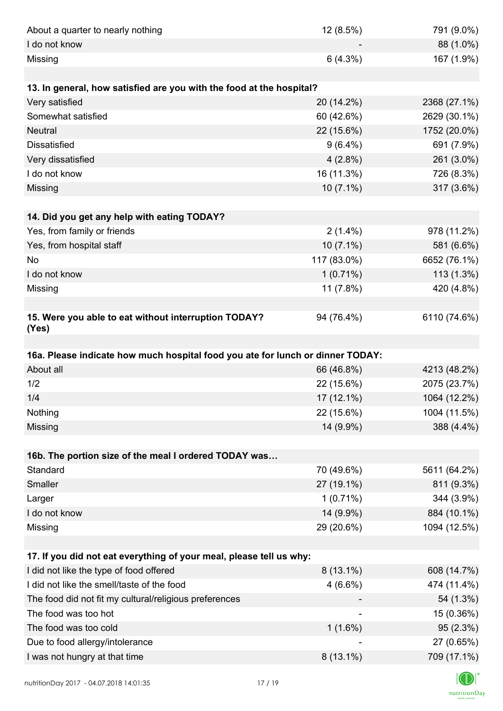| About a quarter to nearly nothing                                              | 12 (8.5%)   | 791 (9.0%)                                                                              |
|--------------------------------------------------------------------------------|-------------|-----------------------------------------------------------------------------------------|
| I do not know                                                                  |             | 88 (1.0%)                                                                               |
| Missing                                                                        | 6(4.3%)     | 167 (1.9%)                                                                              |
|                                                                                |             |                                                                                         |
| 13. In general, how satisfied are you with the food at the hospital?           |             |                                                                                         |
| Very satisfied                                                                 | 20 (14.2%)  | 2368 (27.1%)                                                                            |
| Somewhat satisfied                                                             | 60 (42.6%)  | 2629 (30.1%)                                                                            |
| <b>Neutral</b>                                                                 | 22 (15.6%)  | 1752 (20.0%)                                                                            |
| <b>Dissatisfied</b>                                                            | $9(6.4\%)$  | 691 (7.9%)                                                                              |
| Very dissatisfied                                                              | $4(2.8\%)$  | 261 (3.0%)                                                                              |
| I do not know                                                                  | 16 (11.3%)  | 726 (8.3%)                                                                              |
| Missing                                                                        | 10 (7.1%)   | 317 (3.6%)                                                                              |
|                                                                                |             |                                                                                         |
| 14. Did you get any help with eating TODAY?                                    |             |                                                                                         |
| Yes, from family or friends                                                    | $2(1.4\%)$  | 978 (11.2%)                                                                             |
| Yes, from hospital staff                                                       | $10(7.1\%)$ | 581 (6.6%)                                                                              |
| No                                                                             | 117 (83.0%) | 6652 (76.1%)                                                                            |
| I do not know                                                                  | $1(0.71\%)$ | $113(1.3\%)$                                                                            |
| Missing                                                                        | 11(7.8%)    | 420 (4.8%)                                                                              |
|                                                                                |             |                                                                                         |
| 15. Were you able to eat without interruption TODAY?<br>(Yes)                  | 94 (76.4%)  | 6110 (74.6%)                                                                            |
|                                                                                |             |                                                                                         |
| 16a. Please indicate how much hospital food you ate for lunch or dinner TODAY: |             |                                                                                         |
| About all                                                                      | 66 (46.8%)  | 4213 (48.2%)                                                                            |
|                                                                                |             |                                                                                         |
| 1/2                                                                            | 22 (15.6%)  |                                                                                         |
| 1/4                                                                            | 17 (12.1%)  | 1064 (12.2%)                                                                            |
| Nothing                                                                        | 22 (15.6%)  |                                                                                         |
| Missing                                                                        | 14 (9.9%)   |                                                                                         |
|                                                                                |             |                                                                                         |
| 16b. The portion size of the meal I ordered TODAY was                          |             |                                                                                         |
| Standard                                                                       | 70 (49.6%)  |                                                                                         |
| Smaller                                                                        | 27 (19.1%)  | 811 (9.3%)                                                                              |
| Larger                                                                         | $1(0.71\%)$ |                                                                                         |
| I do not know                                                                  | 14 (9.9%)   | 884 (10.1%)                                                                             |
| Missing                                                                        | 29 (20.6%)  | 1094 (12.5%)                                                                            |
|                                                                                |             |                                                                                         |
| 17. If you did not eat everything of your meal, please tell us why:            |             |                                                                                         |
| I did not like the type of food offered                                        | $8(13.1\%)$ | 2075 (23.7%)<br>1004 (11.5%)<br>388 (4.4%)<br>5611 (64.2%)<br>344 (3.9%)<br>608 (14.7%) |
| I did not like the smell/taste of the food                                     | $4(6.6\%)$  | 474 (11.4%)                                                                             |
| The food did not fit my cultural/religious preferences                         |             |                                                                                         |
| The food was too hot                                                           |             | 15 (0.36%)                                                                              |
| The food was too cold                                                          | $1(1.6\%)$  | 54 (1.3%)<br>95 (2.3%)                                                                  |
| Due to food allergy/intolerance<br>I was not hungry at that time               | $8(13.1\%)$ | 27 (0.65%)<br>709 (17.1%)                                                               |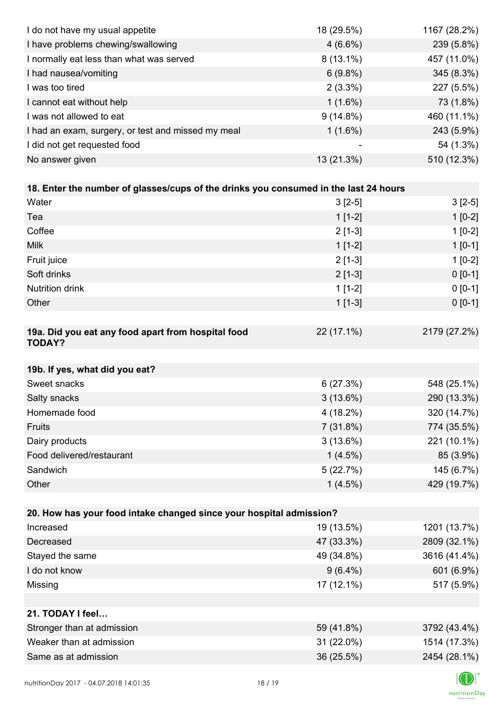| I do not have my usual appetite                                                      | 18 (29.5%)  | 1167 (28.2%) |
|--------------------------------------------------------------------------------------|-------------|--------------|
| I have problems chewing/swallowing                                                   | $4(6.6\%)$  | 239 (5.8%)   |
| I normally eat less than what was served                                             | $8(13.1\%)$ | 457 (11.0%)  |
| I had nausea/vomiting                                                                | $6(9.8\%)$  | 345 (8.3%)   |
| I was too tired                                                                      | $2(3.3\%)$  | 227 (5.5%)   |
| I cannot eat without help                                                            | $1(1.6\%)$  | 73 (1.8%)    |
| I was not allowed to eat                                                             | $9(14.8\%)$ | 460 (11.1%)  |
| I had an exam, surgery, or test and missed my meal                                   | $1(1.6\%)$  | 243 (5.9%)   |
| I did not get requested food                                                         |             | 54 (1.3%)    |
| No answer given                                                                      | 13 (21.3%)  | 510 (12.3%)  |
|                                                                                      |             |              |
| 18. Enter the number of glasses/cups of the drinks you consumed in the last 24 hours |             |              |
| Water                                                                                | $3[2-5]$    | $3[2-5]$     |
| Tea                                                                                  | $1[1-2]$    | $1[0-2]$     |
| Coffee                                                                               | $2[1-3]$    | $1[0-2]$     |
| <b>Milk</b>                                                                          | $1[1-2]$    | $1[0-1]$     |
| Fruit juice                                                                          | $2[1-3]$    | $1[0-2]$     |
| Soft drinks                                                                          | $2[1-3]$    | $0 [0-1]$    |
| Nutrition drink                                                                      | $1[1-2]$    | $0 [0-1]$    |
| Other                                                                                | $1[1-3]$    | $0 [0-1]$    |
|                                                                                      |             |              |
| 19a. Did you eat any food apart from hospital food<br><b>TODAY?</b>                  | 22 (17.1%)  | 2179 (27.2%) |
| 19b. If yes, what did you eat?                                                       |             |              |
| Sweet snacks                                                                         | 6(27.3%)    | 548 (25.1%)  |
| Salty snacks                                                                         | 3(13.6%)    | 290 (13.3%)  |
| Homemade food                                                                        | 4 (18.2%)   | 320 (14.7%)  |
| Fruits                                                                               | 7(31.8%)    | 774 (35.5%)  |
| Dairy products                                                                       | 3(13.6%)    | 221 (10.1%)  |
| Food delivered/restaurant                                                            | $1(4.5\%)$  | 85 (3.9%)    |
| Sandwich                                                                             | 5(22.7%)    | 145 (6.7%)   |
| Other                                                                                | $1(4.5\%)$  | 429 (19.7%)  |
|                                                                                      |             |              |
| 20. How has your food intake changed since your hospital admission?                  |             |              |
| Increased                                                                            | 19 (13.5%)  | 1201 (13.7%) |
| Decreased                                                                            | 47 (33.3%)  | 2809 (32.1%) |
| Stayed the same                                                                      | 49 (34.8%)  | 3616 (41.4%) |
| I do not know                                                                        | $9(6.4\%)$  | 601 (6.9%)   |
| Missing                                                                              | 17 (12.1%)  | 517 (5.9%)   |
|                                                                                      |             |              |
| 21. TODAY I feel                                                                     |             |              |
| Stronger than at admission                                                           | 59 (41.8%)  | 3792 (43.4%) |
| Weaker than at admission                                                             | 31 (22.0%)  | 1514 (17.3%) |
| Same as at admission                                                                 | 36 (25.5%)  | 2454 (28.1%) |
|                                                                                      |             |              |